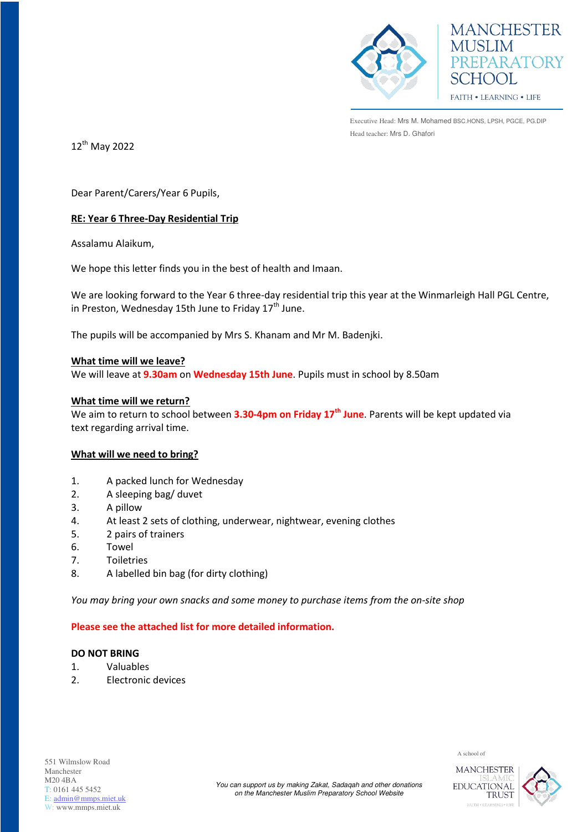



Executive Head: Mrs M. Mohamed BSC.HONS, LPSH, PGCE, PG.DIP Head teacher: Mrs D. Ghafori

12<sup>th</sup> May 2022

Dear Parent/Carers/Year 6 Pupils,

# **RE: Year 6 Three-Day Residential Trip**

Assalamu Alaikum,

We hope this letter finds you in the best of health and Imaan.

We are looking forward to the Year 6 three-day residential trip this year at the Winmarleigh Hall PGL Centre, in Preston, Wednesday 15th June to Friday  $17<sup>th</sup>$  June.

The pupils will be accompanied by Mrs S. Khanam and Mr M. Badenjki.

### **What time will we leave?**

We will leave at **9.30am** on **Wednesday 15th June**. Pupils must in school by 8.50am

#### **What time will we return?**

We aim to return to school between **3.30-4pm on Friday 17th June**. Parents will be kept updated via text regarding arrival time.

### **What will we need to bring?**

- 1. A packed lunch for Wednesday
- 2. A sleeping bag/ duvet
- 3. A pillow
- 4. At least 2 sets of clothing, underwear, nightwear, evening clothes
- 5. 2 pairs of trainers
- 6. Towel
- 7. Toiletries
- 8. A labelled bin bag (for dirty clothing)

*You may bring your own snacks and some money to purchase items from the on-site shop* 

### **Please see the attached list for more detailed information.**

# **DO NOT BRING**

- 1. Valuables
- 2. Electronic devices